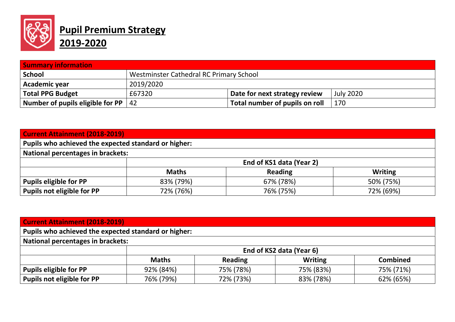

## **Pupil Premium Strategy 2019-2020**

| <b>Summary information</b>       |                                         |                                |                  |  |  |
|----------------------------------|-----------------------------------------|--------------------------------|------------------|--|--|
| <b>School</b>                    | Westminster Cathedral RC Primary School |                                |                  |  |  |
| Academic year                    | 2019/2020                               |                                |                  |  |  |
| <b>Total PPG Budget</b>          | £67320                                  | Date for next strategy review  | <b>July 2020</b> |  |  |
| Number of pupils eligible for PP | -42                                     | Total number of pupils on roll | 170              |  |  |

| <b>Current Attainment (2018-2019)</b>                |                          |                |                |  |  |
|------------------------------------------------------|--------------------------|----------------|----------------|--|--|
| Pupils who achieved the expected standard or higher: |                          |                |                |  |  |
| <b>National percentages in brackets:</b>             |                          |                |                |  |  |
|                                                      | End of KS1 data (Year 2) |                |                |  |  |
|                                                      | <b>Maths</b>             | <b>Reading</b> | <b>Writing</b> |  |  |
| <b>Pupils eligible for PP</b>                        | 83% (79%)                | 67% (78%)      | 50% (75%)      |  |  |
| Pupils not eligible for PP                           | 72% (76%)                | 76% (75%)      | 72% (69%)      |  |  |

| <b>Current Attainment (2018-2019)</b>                |                                          |                |                |                 |  |  |
|------------------------------------------------------|------------------------------------------|----------------|----------------|-----------------|--|--|
| Pupils who achieved the expected standard or higher: |                                          |                |                |                 |  |  |
|                                                      | <b>National percentages in brackets:</b> |                |                |                 |  |  |
|                                                      | End of KS2 data (Year 6)                 |                |                |                 |  |  |
|                                                      | <b>Maths</b>                             | <b>Reading</b> | <b>Writing</b> | <b>Combined</b> |  |  |
| <b>Pupils eligible for PP</b>                        | 92% (84%)                                | 75% (78%)      | 75% (83%)      | 75% (71%)       |  |  |
| Pupils not eligible for PP                           | 76% (79%)                                | 72% (73%)      | 83% (78%)      | 62% (65%)       |  |  |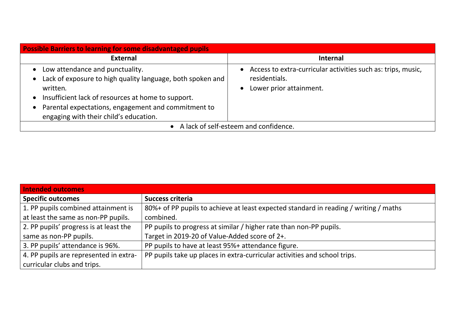| <b>Possible Barriers to learning for some disadvantaged pupils</b>                                                                                                                                                                                                                                                   |                                                                                                          |  |  |  |
|----------------------------------------------------------------------------------------------------------------------------------------------------------------------------------------------------------------------------------------------------------------------------------------------------------------------|----------------------------------------------------------------------------------------------------------|--|--|--|
| <b>External</b>                                                                                                                                                                                                                                                                                                      | <b>Internal</b>                                                                                          |  |  |  |
| Low attendance and punctuality.<br>$\bullet$<br>Lack of exposure to high quality language, both spoken and<br>$\bullet$<br>written.<br>Insufficient lack of resources at home to support.<br>$\bullet$<br>Parental expectations, engagement and commitment to<br>$\bullet$<br>engaging with their child's education. | Access to extra-curricular activities such as: trips, music,<br>residentials.<br>Lower prior attainment. |  |  |  |
| • A lack of self-esteem and confidence.                                                                                                                                                                                                                                                                              |                                                                                                          |  |  |  |

| <b>Intended outcomes</b>               |                                                                                      |
|----------------------------------------|--------------------------------------------------------------------------------------|
| <b>Specific outcomes</b>               | Success criteria                                                                     |
| 1. PP pupils combined attainment is    | 80%+ of PP pupils to achieve at least expected standard in reading / writing / maths |
| at least the same as non-PP pupils.    | combined.                                                                            |
| 2. PP pupils' progress is at least the | PP pupils to progress at similar / higher rate than non-PP pupils.                   |
| same as non-PP pupils.                 | Target in 2019-20 of Value-Added score of 2+.                                        |
| 3. PP pupils' attendance is 96%.       | PP pupils to have at least 95%+ attendance figure.                                   |
| 4. PP pupils are represented in extra- | PP pupils take up places in extra-curricular activities and school trips.            |
| curricular clubs and trips.            |                                                                                      |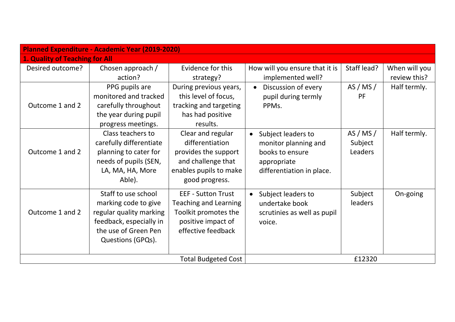| <b>Planned Expenditure - Academic Year (2019-2020)</b> |                         |                              |                                 |                |               |
|--------------------------------------------------------|-------------------------|------------------------------|---------------------------------|----------------|---------------|
| 1. Quality of Teaching for All                         |                         |                              |                                 |                |               |
| Desired outcome?                                       | Chosen approach /       | Evidence for this            | How will you ensure that it is  | Staff lead?    | When will you |
|                                                        | action?                 | strategy?                    | implemented well?               |                | review this?  |
|                                                        | PPG pupils are          | During previous years,       | Discussion of every             | AS / MS /      | Half termly.  |
|                                                        | monitored and tracked   | this level of focus,         | pupil during termly             | PF             |               |
| Outcome 1 and 2                                        | carefully throughout    | tracking and targeting       | PPMs.                           |                |               |
|                                                        | the year during pupil   | has had positive             |                                 |                |               |
|                                                        | progress meetings.      | results.                     |                                 |                |               |
|                                                        | Class teachers to       | Clear and regular            | Subject leaders to<br>$\bullet$ | AS / MS /      | Half termly.  |
|                                                        | carefully differentiate | differentiation              | monitor planning and            | Subject        |               |
| Outcome 1 and 2                                        | planning to cater for   | provides the support         | books to ensure                 | Leaders        |               |
|                                                        | needs of pupils (SEN,   | and challenge that           | appropriate                     |                |               |
|                                                        | LA, MA, HA, More        | enables pupils to make       | differentiation in place.       |                |               |
|                                                        | Able).                  | good progress.               |                                 |                |               |
|                                                        | Staff to use school     | <b>EEF - Sutton Trust</b>    | Subject leaders to              | Subject        | On-going      |
|                                                        | marking code to give    | <b>Teaching and Learning</b> | undertake book                  | <b>leaders</b> |               |
| Outcome 1 and 2                                        | regular quality marking | Toolkit promotes the         | scrutinies as well as pupil     |                |               |
|                                                        | feedback, especially in | positive impact of           | voice.                          |                |               |
|                                                        | the use of Green Pen    | effective feedback           |                                 |                |               |
|                                                        | Questions (GPQs).       |                              |                                 |                |               |
|                                                        |                         |                              |                                 |                |               |
|                                                        |                         |                              | £12320                          |                |               |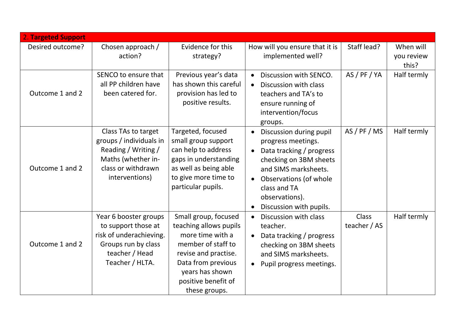| <b>2. Targeted Support</b> |                                                                                                                                     |                                                                                                                                                                                                   |                                                                                                                                                                                                                                                |                       |                     |
|----------------------------|-------------------------------------------------------------------------------------------------------------------------------------|---------------------------------------------------------------------------------------------------------------------------------------------------------------------------------------------------|------------------------------------------------------------------------------------------------------------------------------------------------------------------------------------------------------------------------------------------------|-----------------------|---------------------|
| Desired outcome?           | Chosen approach /                                                                                                                   | Evidence for this                                                                                                                                                                                 | How will you ensure that it is                                                                                                                                                                                                                 | Staff lead?           | When will           |
|                            | action?                                                                                                                             | strategy?                                                                                                                                                                                         | implemented well?                                                                                                                                                                                                                              |                       | you review<br>this? |
| Outcome 1 and 2            | SENCO to ensure that<br>all PP children have<br>been catered for.                                                                   | Previous year's data<br>has shown this careful<br>provision has led to<br>positive results.                                                                                                       | Discussion with SENCO.<br>Discussion with class<br>teachers and TA's to<br>ensure running of<br>intervention/focus<br>groups.                                                                                                                  | AS / PF / YA          | Half termly         |
| Outcome 1 and 2            | Class TAs to target<br>groups / individuals in<br>Reading / Writing /<br>Maths (whether in-<br>class or withdrawn<br>interventions) | Targeted, focused<br>small group support<br>can help to address<br>gaps in understanding<br>as well as being able<br>to give more time to<br>particular pupils.                                   | Discussion during pupil<br>$\bullet$<br>progress meetings.<br>Data tracking / progress<br>$\bullet$<br>checking on 3BM sheets<br>and SIMS marksheets.<br>• Observations (of whole<br>class and TA<br>observations).<br>Discussion with pupils. | AS/PF/MS              | Half termly         |
| Outcome 1 and 2            | Year 6 booster groups<br>to support those at<br>risk of underachieving.<br>Groups run by class<br>teacher / Head<br>Teacher / HLTA. | Small group, focused<br>teaching allows pupils<br>more time with a<br>member of staff to<br>revise and practise.<br>Data from previous<br>years has shown<br>positive benefit of<br>these groups. | Discussion with class<br>$\bullet$<br>teacher.<br>Data tracking / progress<br>checking on 3BM sheets<br>and SIMS marksheets.<br>Pupil progress meetings.                                                                                       | Class<br>teacher / AS | Half termly         |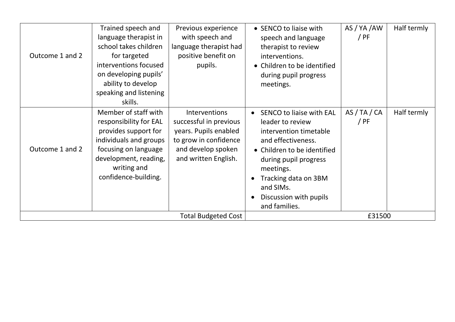| Outcome 1 and 2 | Trained speech and<br>language therapist in<br>school takes children<br>for targeted<br>interventions focused<br>on developing pupils'<br>ability to develop<br>speaking and listening<br>skills. | Previous experience<br>with speech and<br>language therapist had<br>positive benefit on<br>pupils.                                             | • SENCO to liaise with<br>speech and language<br>therapist to review<br>interventions.<br>• Children to be identified<br>during pupil progress<br>meetings.                                                                                              | AS / YA / AW<br>/ PF | Half termly |
|-----------------|---------------------------------------------------------------------------------------------------------------------------------------------------------------------------------------------------|------------------------------------------------------------------------------------------------------------------------------------------------|----------------------------------------------------------------------------------------------------------------------------------------------------------------------------------------------------------------------------------------------------------|----------------------|-------------|
| Outcome 1 and 2 | Member of staff with<br>responsibility for EAL<br>provides support for<br>individuals and groups<br>focusing on language<br>development, reading,<br>writing and<br>confidence-building.          | <b>Interventions</b><br>successful in previous<br>years. Pupils enabled<br>to grow in confidence<br>and develop spoken<br>and written English. | <b>SENCO to liaise with EAL</b><br>leader to review<br>intervention timetable<br>and effectiveness.<br>• Children to be identified<br>during pupil progress<br>meetings.<br>Tracking data on 3BM<br>and SIMs.<br>Discussion with pupils<br>and families. | AS/TA/CA<br>/ PF     | Half termly |
|                 |                                                                                                                                                                                                   | <b>Total Budgeted Cost</b>                                                                                                                     |                                                                                                                                                                                                                                                          | £31500               |             |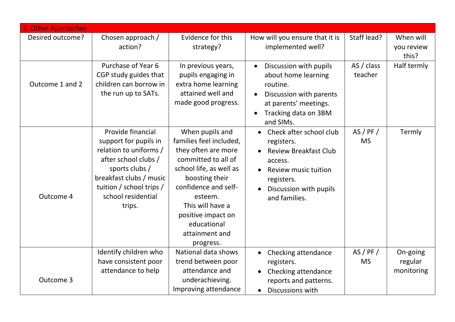| 3. Other Approaches |                                                                                                                                                                                                       |                                                                                                                                                                                                                                                                  |                                                                                                                                                                                             |                       |                                   |
|---------------------|-------------------------------------------------------------------------------------------------------------------------------------------------------------------------------------------------------|------------------------------------------------------------------------------------------------------------------------------------------------------------------------------------------------------------------------------------------------------------------|---------------------------------------------------------------------------------------------------------------------------------------------------------------------------------------------|-----------------------|-----------------------------------|
| Desired outcome?    | Chosen approach /<br>action?                                                                                                                                                                          | Evidence for this<br>strategy?                                                                                                                                                                                                                                   | How will you ensure that it is<br>implemented well?                                                                                                                                         | Staff lead?           | When will<br>you review           |
|                     |                                                                                                                                                                                                       |                                                                                                                                                                                                                                                                  |                                                                                                                                                                                             |                       | this?                             |
| Outcome 1 and 2     | Purchase of Year 6<br>CGP study guides that<br>children can borrow in<br>the run up to SATs.                                                                                                          | In previous years,<br>pupils engaging in<br>extra home learning<br>attained well and<br>made good progress.                                                                                                                                                      | Discussion with pupils<br>$\bullet$<br>about home learning<br>routine.<br>Discussion with parents<br>$\bullet$<br>at parents' meetings.<br>Tracking data on 3BM<br>$\bullet$                | AS / class<br>teacher | Half termly                       |
| Outcome 4           | Provide financial<br>support for pupils in<br>relation to uniforms /<br>after school clubs /<br>sports clubs /<br>breakfast clubs / music<br>tuition / school trips /<br>school residential<br>trips. | When pupils and<br>families feel included,<br>they often are more<br>committed to all of<br>school life, as well as<br>boosting their<br>confidence and self-<br>esteem.<br>This will have a<br>positive impact on<br>educational<br>attainment and<br>progress. | and SIMs.<br>Check after school club<br>$\bullet$<br>registers.<br><b>Review Breakfast Club</b><br>access.<br>Review music tuition<br>registers.<br>Discussion with pupils<br>and families. | AS/PF/<br><b>MS</b>   | Termly                            |
| Outcome 3           | Identify children who<br>have consistent poor<br>attendance to help                                                                                                                                   | National data shows<br>trend between poor<br>attendance and<br>underachieving.<br>Improving attendance                                                                                                                                                           | Checking attendance<br>registers.<br>Checking attendance<br>reports and patterns.<br>Discussions with<br>$\bullet$                                                                          | AS/PF/<br><b>MS</b>   | On-going<br>regular<br>monitoring |